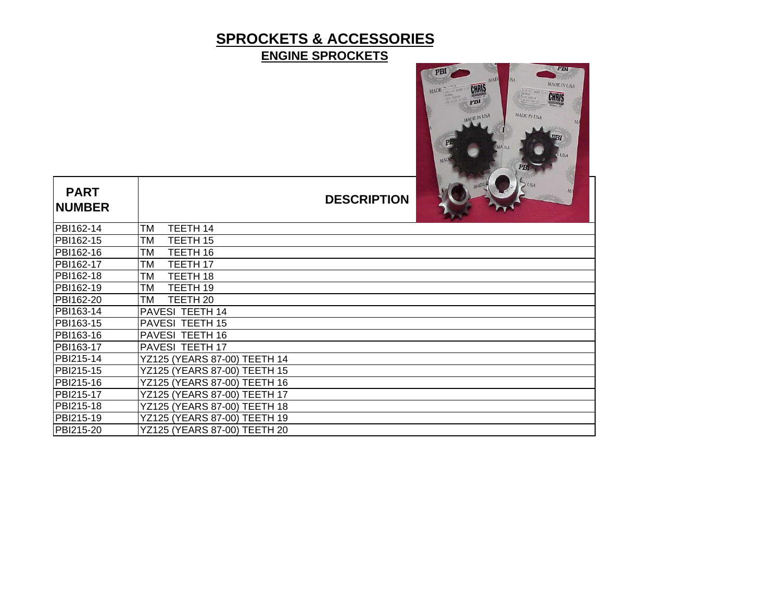# **SPROCKETS & ACCESSORIES ENGINE SPROCKETS**



| <b>PART</b><br><b>NUMBER</b> |                              | <b>DESCRIPTION</b> | MADE<br><b>LSA</b><br>M <sub>2</sub> |
|------------------------------|------------------------------|--------------------|--------------------------------------|
| PBI162-14                    | TM<br>TEETH 14               |                    |                                      |
| PBI162-15                    | ТM<br>TEETH 15               |                    |                                      |
| PBI162-16                    | TEETH 16<br>TM               |                    |                                      |
| PBI162-17                    | ТM<br>TEETH 17               |                    |                                      |
| PBI162-18                    | TEETH 18<br>TM               |                    |                                      |
| PBI162-19                    | TEETH 19<br>ТM               |                    |                                      |
| PBI162-20                    | TEETH 20<br>TM               |                    |                                      |
| PBI163-14                    | <b>PAVESI TEETH 14</b>       |                    |                                      |
| PBI163-15                    | <b>PAVESI TEETH 15</b>       |                    |                                      |
| PBI163-16                    | <b>PAVESI TEETH 16</b>       |                    |                                      |
| PBI163-17                    | <b>PAVESI TEETH 17</b>       |                    |                                      |
| PBI215-14                    | YZ125 (YEARS 87-00) TEETH 14 |                    |                                      |
| PBI215-15                    | YZ125 (YEARS 87-00) TEETH 15 |                    |                                      |
| PBI215-16                    | YZ125 (YEARS 87-00) TEETH 16 |                    |                                      |
| PBI215-17                    | YZ125 (YEARS 87-00) TEETH 17 |                    |                                      |
| PBI215-18                    | YZ125 (YEARS 87-00) TEETH 18 |                    |                                      |
| PBI215-19                    | YZ125 (YEARS 87-00) TEETH 19 |                    |                                      |
| PBI215-20                    | YZ125 (YEARS 87-00) TEETH 20 |                    |                                      |

 $\mathbf{I}$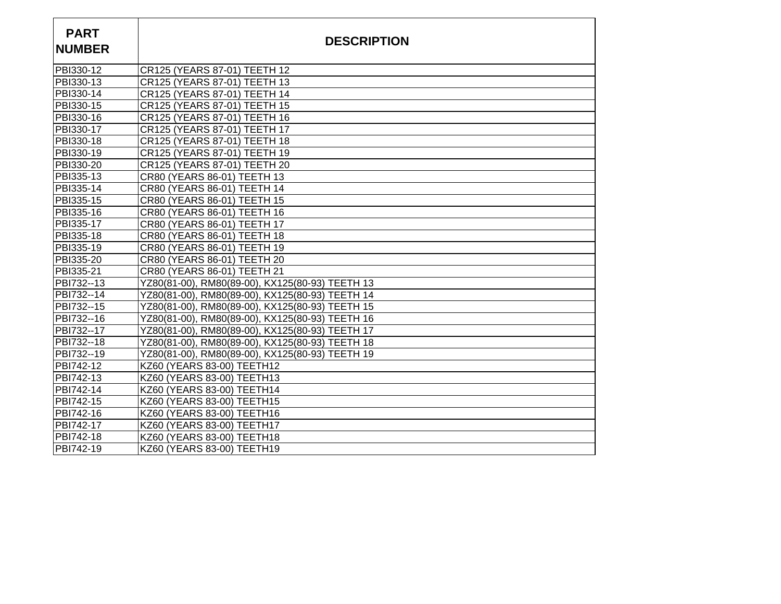| <b>PART</b><br><b>NUMBER</b> | <b>DESCRIPTION</b>                              |
|------------------------------|-------------------------------------------------|
| PBI330-12                    | CR125 (YEARS 87-01) TEETH 12                    |
| PBI330-13                    | CR125 (YEARS 87-01) TEETH 13                    |
| PBI330-14                    | CR125 (YEARS 87-01) TEETH 14                    |
| PBI330-15                    | CR125 (YEARS 87-01) TEETH 15                    |
| PBI330-16                    | CR125 (YEARS 87-01) TEETH 16                    |
| PBI330-17                    | CR125 (YEARS 87-01) TEETH 17                    |
| PBI330-18                    | CR125 (YEARS 87-01) TEETH 18                    |
| PBI330-19                    | CR125 (YEARS 87-01) TEETH 19                    |
| PBI330-20                    | CR125 (YEARS 87-01) TEETH 20                    |
| PBI335-13                    | CR80 (YEARS 86-01) TEETH 13                     |
| PBI335-14                    | CR80 (YEARS 86-01) TEETH 14                     |
| PBI335-15                    | CR80 (YEARS 86-01) TEETH 15                     |
| PBI335-16                    | CR80 (YEARS 86-01) TEETH 16                     |
| PBI335-17                    | CR80 (YEARS 86-01) TEETH 17                     |
| PBI335-18                    | CR80 (YEARS 86-01) TEETH 18                     |
| PBI335-19                    | CR80 (YEARS 86-01) TEETH 19                     |
| PBI335-20                    | CR80 (YEARS 86-01) TEETH 20                     |
| PBI335-21                    | CR80 (YEARS 86-01) TEETH 21                     |
| PBI732--13                   | YZ80(81-00), RM80(89-00), KX125(80-93) TEETH 13 |
| PBI732--14                   | YZ80(81-00), RM80(89-00), KX125(80-93) TEETH 14 |
| PBI732--15                   | YZ80(81-00), RM80(89-00), KX125(80-93) TEETH 15 |
| PBI732--16                   | YZ80(81-00), RM80(89-00), KX125(80-93) TEETH 16 |
| PBI732--17                   | YZ80(81-00), RM80(89-00), KX125(80-93) TEETH 17 |
| PBI732--18                   | YZ80(81-00), RM80(89-00), KX125(80-93) TEETH 18 |
| PBI732--19                   | YZ80(81-00), RM80(89-00), KX125(80-93) TEETH 19 |
| PBI742-12                    | KZ60 (YEARS 83-00) TEETH12                      |
| PBI742-13                    | KZ60 (YEARS 83-00) TEETH13                      |
| PBI742-14                    | KZ60 (YEARS 83-00) TEETH14                      |
| PBI742-15                    | KZ60 (YEARS 83-00) TEETH15                      |
| PBI742-16                    | KZ60 (YEARS 83-00) TEETH16                      |
| PBI742-17                    | KZ60 (YEARS 83-00) TEETH17                      |
| PBI742-18                    | KZ60 (YEARS 83-00) TEETH18                      |
| PBI742-19                    | KZ60 (YEARS 83-00) TEETH19                      |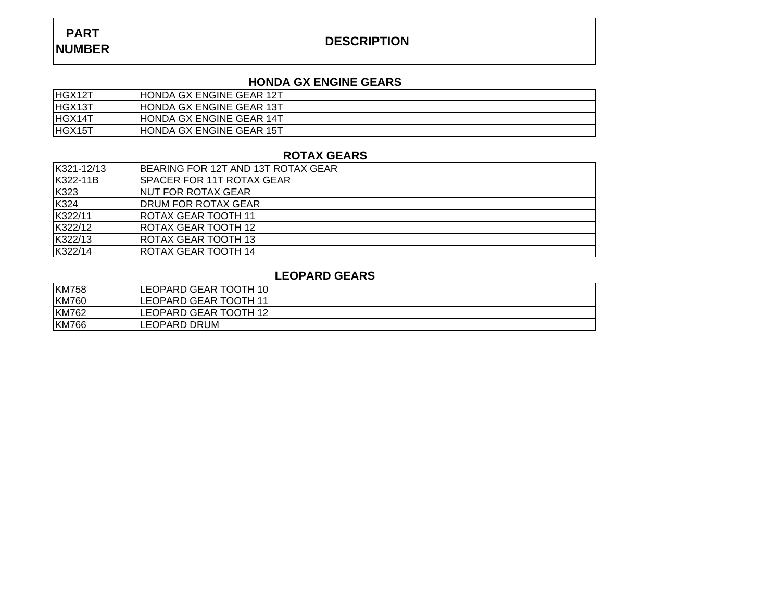## **DESCRIPTION**

#### **HONDA GX ENGINE GEARS**

| HGX12T | <b>HONDA GX ENGINE GEAR 12T</b> |
|--------|---------------------------------|
| HGX13T | <b>HONDA GX ENGINE GEAR 13T</b> |
| HGX14T | <b>HONDA GX ENGINE GEAR 14T</b> |
| HGX15T | <b>HONDA GX ENGINE GEAR 15T</b> |

#### **ROTAX GEARS**

| K321-12/13 | <b>IBEARING FOR 12T AND 13T ROTAX GEAR</b> |
|------------|--------------------------------------------|
| K322-11B   | <b>SPACER FOR 11T ROTAX GEAR</b>           |
| K323       | <b>INUT FOR ROTAX GEAR</b>                 |
| K324       | IDRUM FOR ROTAX GEAR                       |
| K322/11    | IROTAX GEAR TOOTH 11                       |
| K322/12    | IROTAX GEAR TOOTH 12                       |
| K322/13    | <b>ROTAX GEAR TOOTH 13</b>                 |
| K322/14    | ROTAX GEAR TOOTH 14                        |

#### **LEOPARD GEARS**

| <b>KM758</b> | LEOPARD GEAR TOOTH 10  |
|--------------|------------------------|
| <b>KM760</b> | ILEOPARD GEAR TOOTH 11 |
| <b>KM762</b> | ILEOPARD GEAR TOOTH 12 |
| <b>KM766</b> | LEOPARD DRUM           |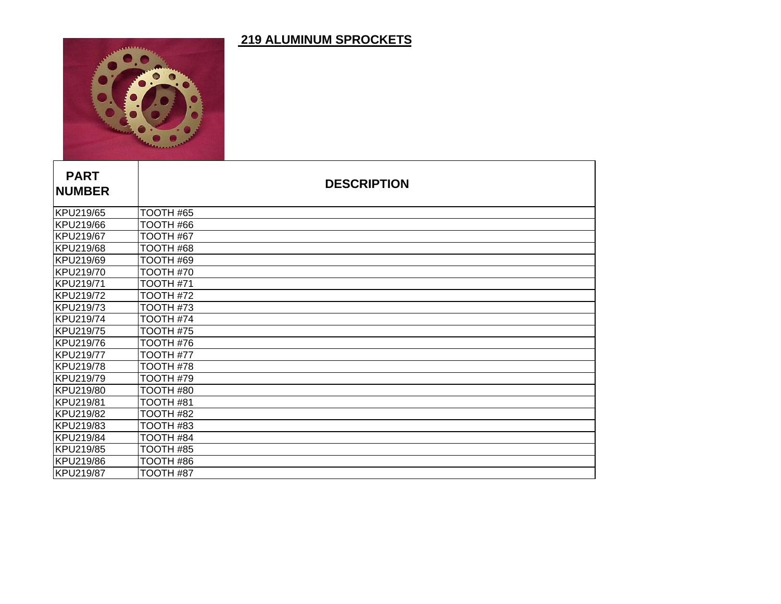## **219 ALUMINUM SPROCKETS**



| <b>PART</b><br><b>NUMBER</b> |                  | <b>DESCRIPTION</b> |  |
|------------------------------|------------------|--------------------|--|
| KPU219/65                    | TOOTH #65        |                    |  |
| KPU219/66                    | <b>TOOTH #66</b> |                    |  |
| KPU219/67                    | TOOTH #67        |                    |  |
| KPU219/68                    | <b>TOOTH #68</b> |                    |  |
| KPU219/69                    | TOOTH #69        |                    |  |
| KPU219/70                    | TOOTH #70        |                    |  |
| KPU219/71                    | TOOTH #71        |                    |  |
| KPU219/72                    | TOOTH #72        |                    |  |
| KPU219/73                    | TOOTH #73        |                    |  |
| KPU219/74                    | TOOTH #74        |                    |  |
| KPU219/75                    | TOOTH #75        |                    |  |
| KPU219/76                    | TOOTH #76        |                    |  |
| KPU219/77                    | TOOTH #77        |                    |  |
| KPU219/78                    | TOOTH #78        |                    |  |
| KPU219/79                    | TOOTH #79        |                    |  |
| KPU219/80                    | TOOTH #80        |                    |  |
| KPU219/81                    | TOOTH #81        |                    |  |
| KPU219/82                    | TOOTH #82        |                    |  |
| KPU219/83                    | TOOTH #83        |                    |  |
| KPU219/84                    | TOOTH #84        |                    |  |
| KPU219/85                    | TOOTH #85        |                    |  |
| KPU219/86                    | <b>TOOTH #86</b> |                    |  |
| <b>KPU219/87</b>             | TOOTH #87        |                    |  |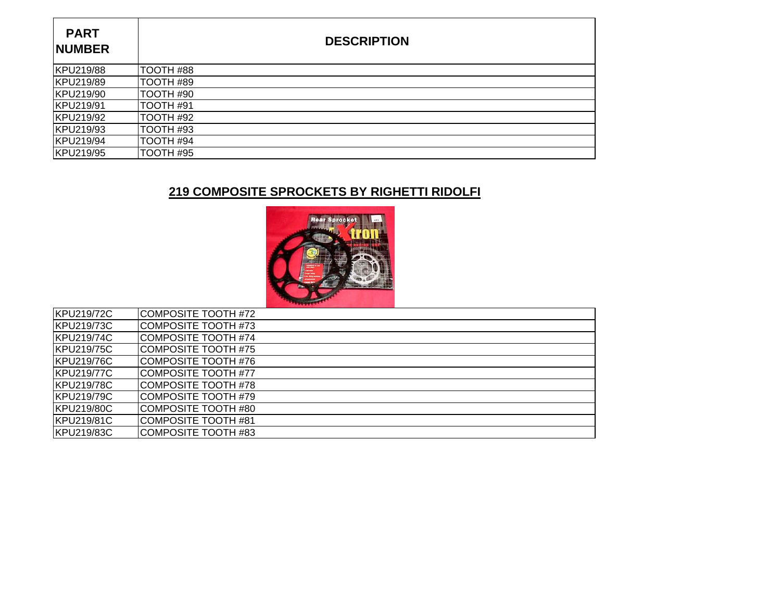| <b>PART</b><br><b>NUMBER</b> | <b>DESCRIPTION</b> |
|------------------------------|--------------------|
| KPU219/88                    | TOOTH #88          |
| KPU219/89                    | TOOTH #89          |
| KPU219/90                    | TOOTH #90          |
| KPU219/91                    | TOOTH #91          |
| KPU219/92                    | TOOTH #92          |
| KPU219/93                    | TOOTH #93          |
| KPU219/94                    | TOOTH #94          |
| KPU219/95                    | TOOTH #95          |

# **219 COMPOSITE SPROCKETS BY RIGHETTI RIDOLFI**



| KPU219/72C        | COMPOSITE TOOTH #72  |  |
|-------------------|----------------------|--|
| <b>KPU219/73C</b> | COMPOSITE TOOTH #73  |  |
| KPU219/74C        | COMPOSITE TOOTH #74  |  |
| KPU219/75C        | COMPOSITE TOOTH #75  |  |
| KPU219/76C        | COMPOSITE TOOTH #76  |  |
| KPU219/77C        | COMPOSITE TOOTH #77  |  |
| <b>KPU219/78C</b> | COMPOSITE TOOTH #78  |  |
| KPU219/79C        | COMPOSITE TOOTH #79  |  |
| KPU219/80C        | ICOMPOSITE TOOTH #80 |  |
| <b>KPU219/81C</b> | COMPOSITE TOOTH #81  |  |
| KPU219/83C        | COMPOSITE TOOTH #83  |  |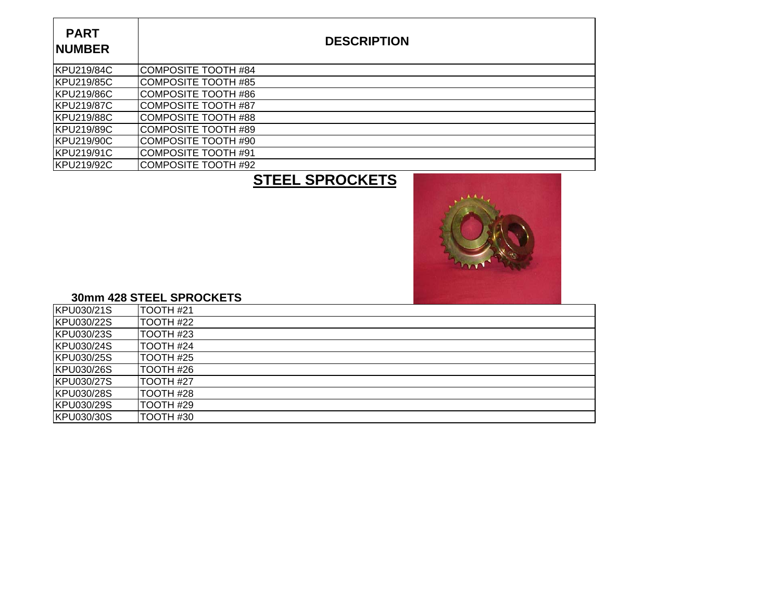| <b>PART</b><br><b>NUMBER</b> | <b>DESCRIPTION</b>  |
|------------------------------|---------------------|
| <b>IKPU219/84C</b>           | COMPOSITE TOOTH #84 |
| KPU219/85C                   | COMPOSITE TOOTH #85 |
| <b>KPU219/86C</b>            | COMPOSITE TOOTH #86 |
| <b>KPU219/87C</b>            | COMPOSITE TOOTH #87 |
| <b>KPU219/88C</b>            | COMPOSITE TOOTH #88 |
| KPU219/89C                   | COMPOSITE TOOTH #89 |
| KPU219/90C                   | COMPOSITE TOOTH #90 |
| KPU219/91C                   | COMPOSITE TOOTH #91 |
| KPU219/92C                   | COMPOSITE TOOTH #92 |

# **STEEL SPROCKETS**



#### **30mm 428 STEEL SPROCKETS**

| KPU030/21S        | TOOTH #21        |
|-------------------|------------------|
| KPU030/22S        | <b>TOOTH #22</b> |
| <b>KPU030/23S</b> | TOOTH #23        |
| KPU030/24S        | TOOTH #24        |
| KPU030/25S        | TOOTH #25        |
| KPU030/26S        | TOOTH #26        |
| KPU030/27S        | TOOTH #27        |
| KPU030/28S        | TOOTH #28        |
| KPU030/29S        | TOOTH #29        |
| KPU030/30S        | TOOTH #30        |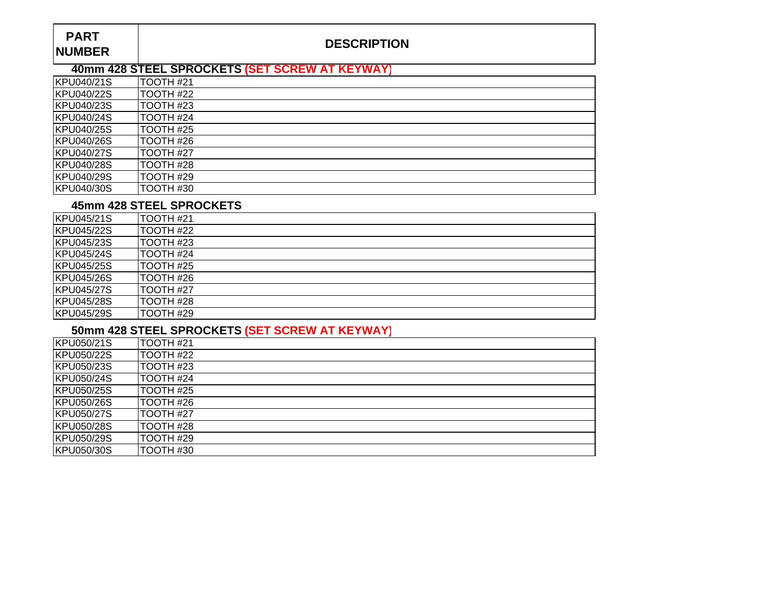## **DESCRIPTION**

## **40mm 428 STEEL SPROCKETS (SET SCREW AT KEYWAY)**

| KPU040/21S         | TOOTH #21  |
|--------------------|------------|
| KPU040/22S         | ITOOTH #22 |
| KPU040/23S         | TOOTH #23  |
| <b>KPU040/24S</b>  | TOOTH #24  |
| KPU040/25S         | TOOTH #25  |
| KPU040/26S         | TOOTH #26  |
| <b>IKPU040/27S</b> | TOOTH #27  |
| <b>KPU040/28S</b>  | TOOTH #28  |
| KPU040/29S         | TOOTH #29  |
| KPU040/30S         | TOOTH #30  |

#### **45mm 428 STEEL SPROCKETS**

| KPU045/21S        | TOOTH #21  |
|-------------------|------------|
| KPU045/22S        | TOOTH #22  |
| <b>KPU045/23S</b> | TOOTH #23  |
| KPU045/24S        | TOOTH #24  |
| <b>KPU045/25S</b> | TOOTH #25  |
| <b>KPU045/26S</b> | TOOTH #26  |
| <b>KPU045/27S</b> | ITOOTH #27 |
| <b>KPU045/28S</b> | TOOTH #28  |
| KPU045/29S        | TOOTH #29  |

### **50mm 428 STEEL SPROCKETS (SET SCREW AT KEYWAY)**

| KPU050/21S        | TOOTH #21 |
|-------------------|-----------|
| <b>KPU050/22S</b> | TOOTH #22 |
| KPU050/23S        | TOOTH #23 |
| KPU050/24S        | TOOTH #24 |
| KPU050/25S        | TOOTH #25 |
| <b>KPU050/26S</b> | TOOTH #26 |
| KPU050/27S        | TOOTH #27 |
| KPU050/28S        | TOOTH #28 |
| KPU050/29S        | TOOTH #29 |
| KPU050/30S        | TOOTH #30 |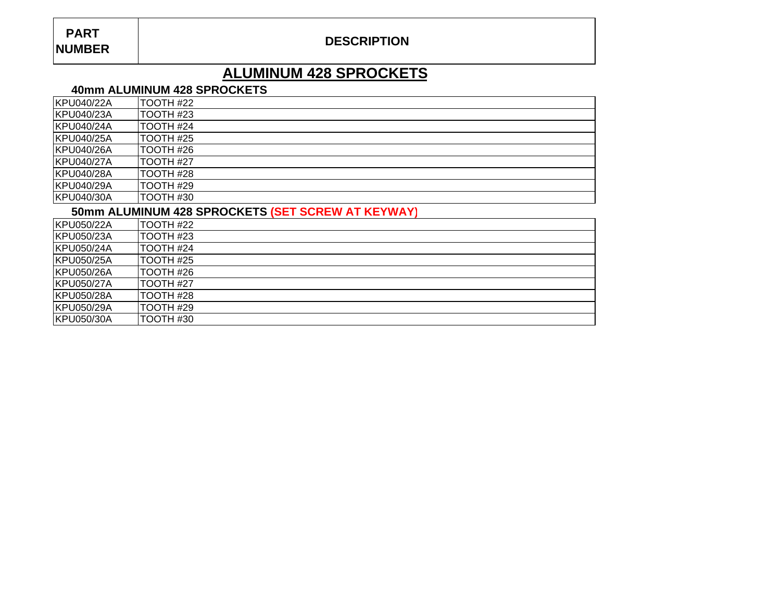## **DESCRIPTION**

# **ALUMINUM 428 SPROCKETS**

#### **40mm ALUMINUM 428 SPROCKETS**

| KPU040/22A        | TOOTH #22 |
|-------------------|-----------|
| KPU040/23A        | TOOTH #23 |
| KPU040/24A        | TOOTH #24 |
| KPU040/25A        | TOOTH #25 |
| KPU040/26A        | TOOTH #26 |
| KPU040/27A        | TOOTH #27 |
| KPU040/28A        | TOOTH #28 |
| KPU040/29A        | TOOTH #29 |
| <b>KPU040/30A</b> | TOOTH #30 |
|                   |           |

#### **50mm ALUMINUM 428 SPROCKETS (SET SCREW AT KEYWAY)**

| KPU050/22A | ITOOTH #22 |
|------------|------------|
| KPU050/23A | TOOTH #23  |
| KPU050/24A | TOOTH #24  |
| KPU050/25A | TOOTH #25  |
| KPU050/26A | TOOTH #26  |
| KPU050/27A | TOOTH #27  |
| KPU050/28A | TOOTH #28  |
| KPU050/29A | TOOTH #29  |
| KPU050/30A | TOOTH #30  |